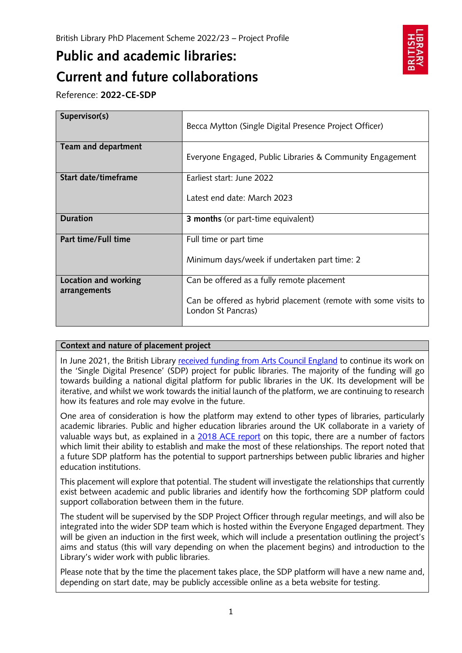# **Public and academic libraries: Current and future collaborations**



Reference: **2022-CE-SDP**

| Supervisor(s)        | Becca Mytton (Single Digital Presence Project Officer)                               |
|----------------------|--------------------------------------------------------------------------------------|
| Team and department  | Everyone Engaged, Public Libraries & Community Engagement                            |
| Start date/timeframe | Earliest start: June 2022                                                            |
|                      | Latest end date: March 2023                                                          |
| <b>Duration</b>      | <b>3 months</b> (or part-time equivalent)                                            |
| Part time/Full time  | Full time or part time                                                               |
|                      | Minimum days/week if undertaken part time: 2                                         |
| Location and working | Can be offered as a fully remote placement                                           |
| arrangements         | Can be offered as hybrid placement (remote with some visits to<br>London St Pancras) |

# **Context and nature of placement project**

In June 2021, the British Library [received funding from Arts Council England](https://www.bl.uk/press-releases/2021/june/single-digital-presence) to continue its work on the 'Single Digital Presence' (SDP) project for public libraries. The majority of the funding will go towards building a national digital platform for public libraries in the UK. Its development will be iterative, and whilst we work towards the initial launch of the platform, we are continuing to research how its features and role may evolve in the future.

One area of consideration is how the platform may extend to other types of libraries, particularly academic libraries. Public and higher education libraries around the UK collaborate in a variety of valuable ways but, as explained in a [2018 ACE report](https://www.artscouncil.org.uk/sites/default/files/download-file/Public%20Libraries%20and%20HE%20report.pdf) on this topic, there are a number of factors which limit their ability to establish and make the most of these relationships. The report noted that a future SDP platform has the potential to support partnerships between public libraries and higher education institutions.

This placement will explore that potential. The student will investigate the relationships that currently exist between academic and public libraries and identify how the forthcoming SDP platform could support collaboration between them in the future.

The student will be supervised by the SDP Project Officer through regular meetings, and will also be integrated into the wider SDP team which is hosted within the Everyone Engaged department. They will be given an induction in the first week, which will include a presentation outlining the project's aims and status (this will vary depending on when the placement begins) and introduction to the Library's wider work with public libraries.

Please note that by the time the placement takes place, the SDP platform will have a new name and, depending on start date, may be publicly accessible online as a beta website for testing.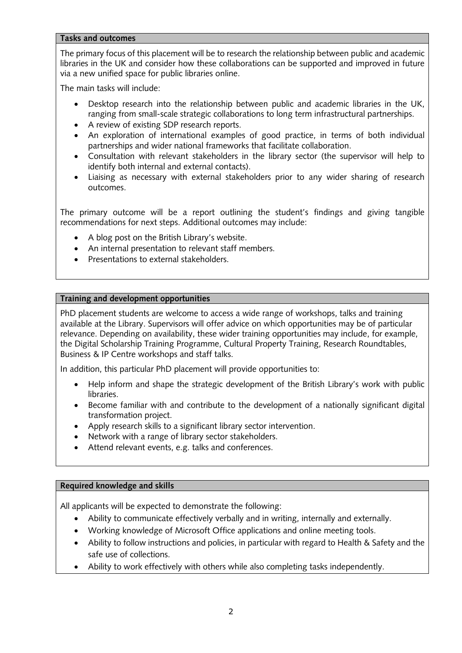## **Tasks and outcomes**

The primary focus of this placement will be to research the relationship between public and academic libraries in the UK and consider how these collaborations can be supported and improved in future via a new unified space for public libraries online.

The main tasks will include:

- Desktop research into the relationship between public and academic libraries in the UK, ranging from small-scale strategic collaborations to long term infrastructural partnerships.
- A review of existing SDP research reports.
- An exploration of international examples of good practice, in terms of both individual partnerships and wider national frameworks that facilitate collaboration.
- Consultation with relevant stakeholders in the library sector (the supervisor will help to identify both internal and external contacts).
- Liaising as necessary with external stakeholders prior to any wider sharing of research outcomes.

The primary outcome will be a report outlining the student's findings and giving tangible recommendations for next steps. Additional outcomes may include:

- A blog post on the British Library's website.
- An internal presentation to relevant staff members.
- Presentations to external stakeholders.

## **Training and development opportunities**

PhD placement students are welcome to access a wide range of workshops, talks and training available at the Library. Supervisors will offer advice on which opportunities may be of particular relevance. Depending on availability, these wider training opportunities may include, for example, the Digital Scholarship Training Programme, Cultural Property Training, Research Roundtables, Business & IP Centre workshops and staff talks.

In addition, this particular PhD placement will provide opportunities to:

- Help inform and shape the strategic development of the British Library's work with public libraries.
- Become familiar with and contribute to the development of a nationally significant digital transformation project.
- Apply research skills to a significant library sector intervention.
- Network with a range of library sector stakeholders.
- Attend relevant events, e.g. talks and conferences.

## **Required knowledge and skills**

All applicants will be expected to demonstrate the following:

- Ability to communicate effectively verbally and in writing, internally and externally.
- Working knowledge of Microsoft Office applications and online meeting tools.
- Ability to follow instructions and policies, in particular with regard to Health & Safety and the safe use of collections.
- Ability to work effectively with others while also completing tasks independently.